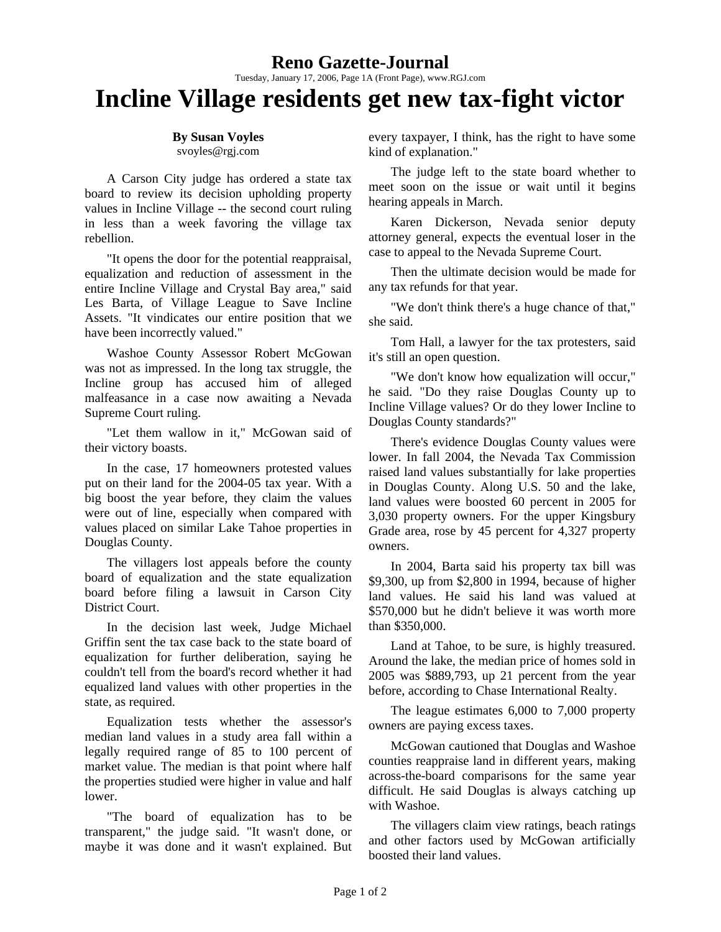## **Reno Gazette-Journal**

Tuesday, January 17, 2006, Page 1A (Front Page), www.RGJ.com

## **Incline Village residents get new tax-fight victor**

## **By Susan Voyles**

svoyles@rgj.com

A Carson City judge has ordered a state tax board to review its decision upholding property values in Incline Village -- the second court ruling in less than a week favoring the village tax rebellion.

"It opens the door for the potential reappraisal, equalization and reduction of assessment in the entire Incline Village and Crystal Bay area," said Les Barta, of Village League to Save Incline Assets. "It vindicates our entire position that we have been incorrectly valued."

Washoe County Assessor Robert McGowan was not as impressed. In the long tax struggle, the Incline group has accused him of alleged malfeasance in a case now awaiting a Nevada Supreme Court ruling.

"Let them wallow in it," McGowan said of their victory boasts.

In the case, 17 homeowners protested values put on their land for the 2004-05 tax year. With a big boost the year before, they claim the values were out of line, especially when compared with values placed on similar Lake Tahoe properties in Douglas County.

The villagers lost appeals before the county board of equalization and the state equalization board before filing a lawsuit in Carson City District Court.

In the decision last week, Judge Michael Griffin sent the tax case back to the state board of equalization for further deliberation, saying he couldn't tell from the board's record whether it had equalized land values with other properties in the state, as required.

Equalization tests whether the assessor's median land values in a study area fall within a legally required range of 85 to 100 percent of market value. The median is that point where half the properties studied were higher in value and half lower.

"The board of equalization has to be transparent," the judge said. "It wasn't done, or maybe it was done and it wasn't explained. But every taxpayer, I think, has the right to have some kind of explanation."

The judge left to the state board whether to meet soon on the issue or wait until it begins hearing appeals in March.

Karen Dickerson, Nevada senior deputy attorney general, expects the eventual loser in the case to appeal to the Nevada Supreme Court.

Then the ultimate decision would be made for any tax refunds for that year.

"We don't think there's a huge chance of that," she said.

Tom Hall, a lawyer for the tax protesters, said it's still an open question.

"We don't know how equalization will occur," he said. "Do they raise Douglas County up to Incline Village values? Or do they lower Incline to Douglas County standards?"

There's evidence Douglas County values were lower. In fall 2004, the Nevada Tax Commission raised land values substantially for lake properties in Douglas County. Along U.S. 50 and the lake, land values were boosted 60 percent in 2005 for 3,030 property owners. For the upper Kingsbury Grade area, rose by 45 percent for 4,327 property owners.

In 2004, Barta said his property tax bill was \$9,300, up from \$2,800 in 1994, because of higher land values. He said his land was valued at \$570,000 but he didn't believe it was worth more than \$350,000.

Land at Tahoe, to be sure, is highly treasured. Around the lake, the median price of homes sold in 2005 was \$889,793, up 21 percent from the year before, according to Chase International Realty.

The league estimates 6,000 to 7,000 property owners are paying excess taxes.

McGowan cautioned that Douglas and Washoe counties reappraise land in different years, making across-the-board comparisons for the same year difficult. He said Douglas is always catching up with Washoe.

The villagers claim view ratings, beach ratings and other factors used by McGowan artificially boosted their land values.